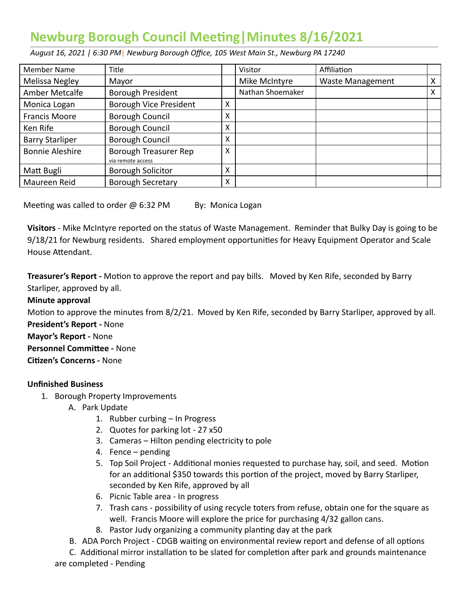# **Newburg Borough Council Meeting | Minutes 8/16/2021**

 *August 16, 2021 | 6:30 PM* | *Newburg Borough Office, 105 West Main St., Newburg PA 17240* 

| <b>Member Name</b>     | Title                                      |   | Visitor          | Affiliation             |   |
|------------------------|--------------------------------------------|---|------------------|-------------------------|---|
| Melissa Negley         | Mayor                                      |   | Mike McIntyre    | <b>Waste Management</b> | X |
| Amber Metcalfe         | Borough President                          |   | Nathan Shoemaker |                         | X |
| Monica Logan           | Borough Vice President                     | x |                  |                         |   |
| <b>Francis Moore</b>   | Borough Council                            | x |                  |                         |   |
| Ken Rife               | Borough Council                            | x |                  |                         |   |
| <b>Barry Starliper</b> | <b>Borough Council</b>                     | x |                  |                         |   |
| <b>Bonnie Aleshire</b> | Borough Treasurer Rep<br>via remote access | X |                  |                         |   |
| Matt Bugli             | <b>Borough Solicitor</b>                   | x |                  |                         |   |
| Maureen Reid           | <b>Borough Secretary</b>                   | x |                  |                         |   |

Meeting was called to order  $@$  6:32 PM By: Monica Logan

 **Visitors** - Mike McIntyre reported on the status of Waste Management. Reminder that Bulky Day is going to be 9/18/21 for Newburg residents. Shared employment opportunities for Heavy Equipment Operator and Scale House Attendant.

**Treasurer's Report** - Motion to approve the report and pay bills. Moved by Ken Rife, seconded by Barry Starliper, approved by all.

### **Minute approval**

Motion to approve the minutes from 8/2/21. Moved by Ken Rife, seconded by Barry Starliper, approved by all.  **President's Report -** None

## **Mayor's Report -** None

**Personnel Committee - None** 

**Citizen's Concerns - None** 

## **Unfinished Business**

- 1. Borough Property Improvements
	- A. Park Update
		- 1. Rubber curbing In Progress
		- 2. Quotes for parking lot 27 x50
		- 3. Cameras Hilton pending electricity to pole
		- 4. Fence pending
		- 5. Top Soil Project Additional monies requested to purchase hay, soil, and seed. Motion for an additional \$350 towards this portion of the project, moved by Barry Starliper, seconded by Ken Rife, approved by all
		- 6. Picnic Table area In progress
		- 7. Trash cans possibility of using recycle toters from refuse, obtain one for the square as well. Francis Moore will explore the price for purchasing 4/32 gallon cans.
		- 8. Pastor Judy organizing a community planting day at the park
	- B. ADA Porch Project CDGB waiting on environmental review report and defense of all options

C. Additional mirror installation to be slated for completion after park and grounds maintenance are completed - Pending